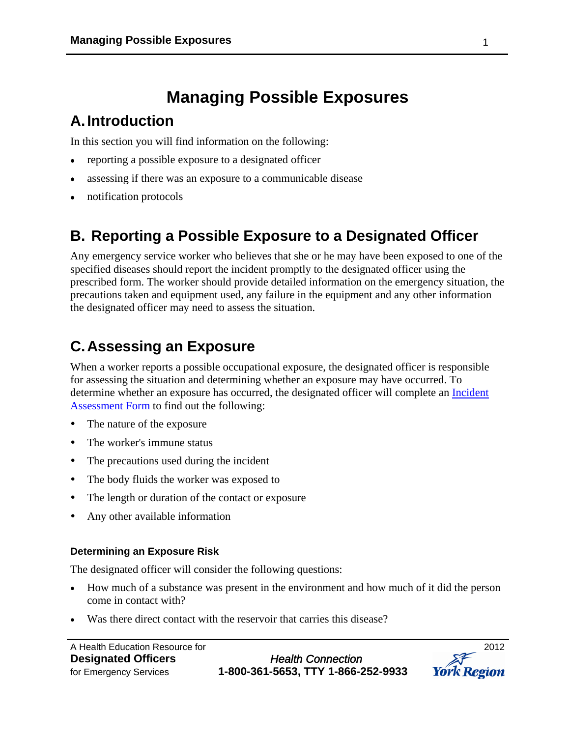# **Managing Possible Exposures**

#### **A.Introduction**

In this section you will find information on the following:

- reporting a possible exposure to a designated officer
- assessing if there was an exposure to a communicable disease
- notification protocols

## **B. Reporting a Possible Exposure to a Designated Officer**

Any emergency service worker who believes that she or he may have been exposed to one of the specified diseases should report the incident promptly to the designated officer using the prescribed form. The worker should provide detailed information on the emergency situation, the precautions taken and equipment used, any failure in the equipment and any other information the designated officer may need to assess the situation.

## **C.Assessing an Exposure**

When a worker reports a possible occupational exposure, the designated officer is responsible for assessing the situation and determining whether an exposure may have occurred. To determine whether an exposure has occurred, the designated officer will complete an [Incident](http://www.york.ca/Services/Public+Health+and+Safety/Infectious+Diseases/DOP-Incident+Assessment+Form.htm)  [Assessment Form](http://www.york.ca/Services/Public+Health+and+Safety/Infectious+Diseases/DOP-Incident+Assessment+Form.htm) to find out the following:

- The nature of the exposure
- The worker's immune status
- The precautions used during the incident
- The body fluids the worker was exposed to
- The length or duration of the contact or exposure
- Any other available information

#### **Determining an Exposure Risk**

The designated officer will consider the following questions:

- How much of a substance was present in the environment and how much of it did the person come in contact with?
- Was there direct contact with the reservoir that carries this disease?

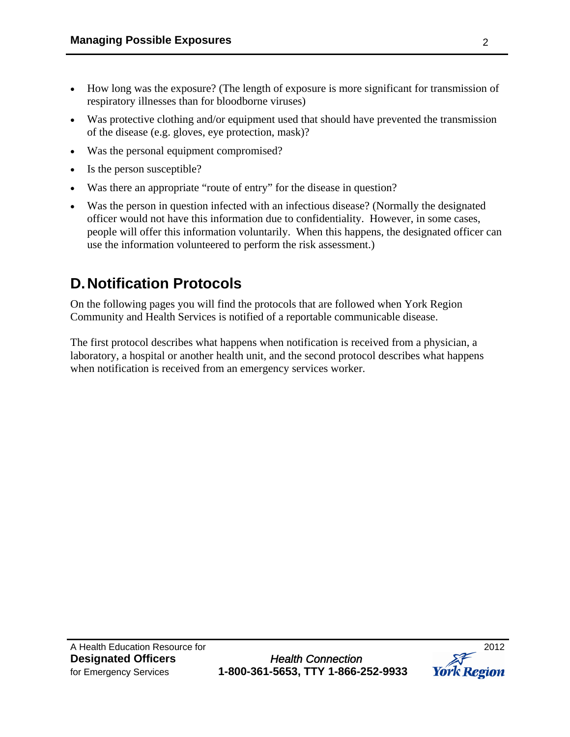- How long was the exposure? (The length of exposure is more significant for transmission of respiratory illnesses than for bloodborne viruses)
- Was protective clothing and/or equipment used that should have prevented the transmission of the disease (e.g. gloves, eye protection, mask)?
- Was the personal equipment compromised?
- Is the person susceptible?
- Was there an appropriate "route of entry" for the disease in question?
- Was the person in question infected with an infectious disease? (Normally the designated officer would not have this information due to confidentiality. However, in some cases, people will offer this information voluntarily. When this happens, the designated officer can use the information volunteered to perform the risk assessment.)

#### **D.Notification Protocols**

On the following pages you will find the protocols that are followed when York Region Community and Health Services is notified of a reportable communicable disease.

The first protocol describes what happens when notification is received from a physician, a laboratory, a hospital or another health unit, and the second protocol describes what happens when notification is received from an emergency services worker.

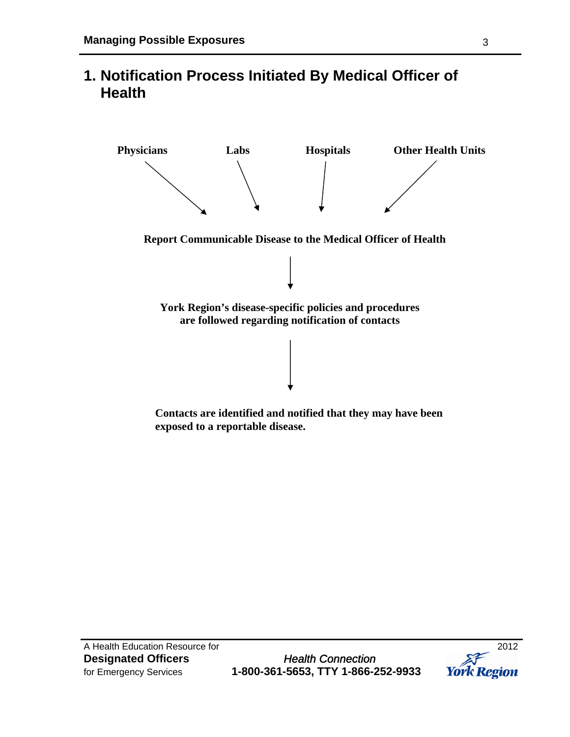**1. Notification Process Initiated By Medical Officer of Health**